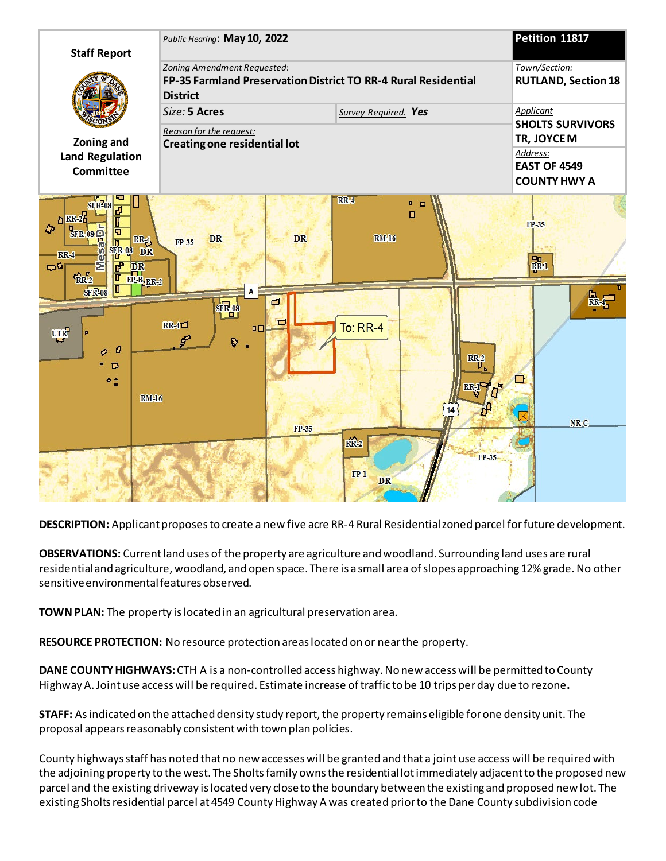

**DESCRIPTION:** Applicant proposes to create a new five acre RR-4 Rural Residential zoned parcel for future development.

**OBSERVATIONS:** Current land uses of the property are agriculture and woodland. Surrounding land uses are rural residential and agriculture, woodland, and open space. There is a small area of slopes approaching 12% grade. No other sensitive environmental features observed.

**TOWN PLAN:** The property is located in an agricultural preservation area.

**RESOURCE PROTECTION:** No resource protection areas located on or near the property.

**DANE COUNTY HIGHWAYS:** CTH A is a non-controlled access highway. No new access will be permitted to County Highway A. Joint use access will be required. Estimate increase of traffic to be 10 trips per day due to rezone**.**

**STAFF:** As indicated on the attached density study report, the property remains eligible for one density unit. The proposal appears reasonably consistent with town plan policies.

County highways staff has noted that no new accesses will be granted and that a joint use access will be required with the adjoining property to the west. The Sholts family owns the residential lot immediately adjacent to the proposed new parcel and the existing driveway is located very close to the boundary between the existing and proposed new lot. The existing Sholts residential parcel at 4549 County Highway A was created prior to the Dane County subdivision code